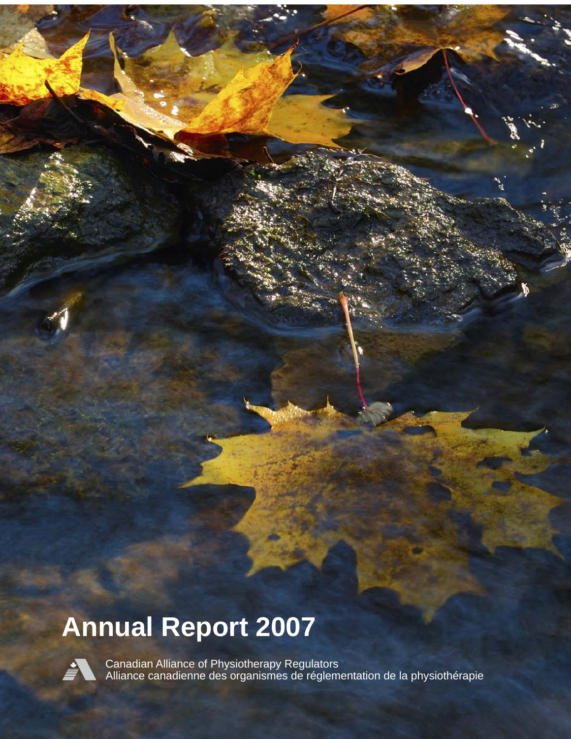# **Annual Report 2007**



Canadian Alliance of Physiotherapy Regulators Alliance canadienne des organismes de réglementation de la physiothérapie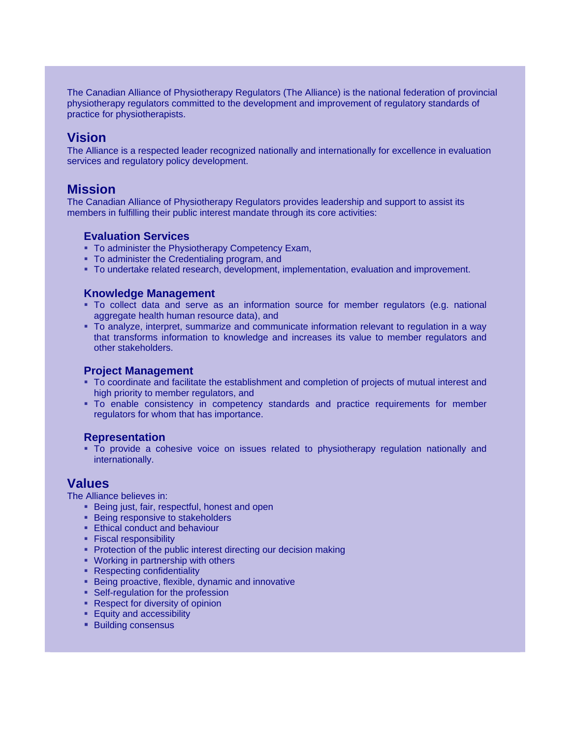The Canadian Alliance of Physiotherapy Regulators (The Alliance) is the national federation of provincial physiotherapy regulators committed to the development and improvement of regulatory standards of practice for physiotherapists.

### **Vision**

The Alliance is a respected leader recognized nationally and internationally for excellence in evaluation services and regulatory policy development.

### **Mission**

The Canadian Alliance of Physiotherapy Regulators provides leadership and support to assist its members in fulfilling their public interest mandate through its core activities:

#### **Evaluation Services**

- **To administer the Physiotherapy Competency Exam,**
- To administer the Credentialing program, and
- To undertake related research, development, implementation, evaluation and improvement.

#### **Knowledge Management**

- To collect data and serve as an information source for member regulators (e.g. national aggregate health human resource data), and
- To analyze, interpret, summarize and communicate information relevant to regulation in a way that transforms information to knowledge and increases its value to member regulators and other stakeholders.

#### **Project Management**

- To coordinate and facilitate the establishment and completion of projects of mutual interest and high priority to member regulators, and
- To enable consistency in competency standards and practice requirements for member regulators for whom that has importance.

#### **Representation**

 To provide a cohesive voice on issues related to physiotherapy regulation nationally and internationally.

### **Values**

The Alliance believes in:

- **Being just, fair, respectful, honest and open**
- **Being responsive to stakeholders**
- **Ethical conduct and behaviour**
- **Fiscal responsibility**
- **Protection of the public interest directing our decision making**
- Working in partnership with others
- Respecting confidentiality
- Being proactive, flexible, dynamic and innovative
- **Self-regulation for the profession**
- Respect for diversity of opinion
- **Equity and accessibility**
- **Building consensus**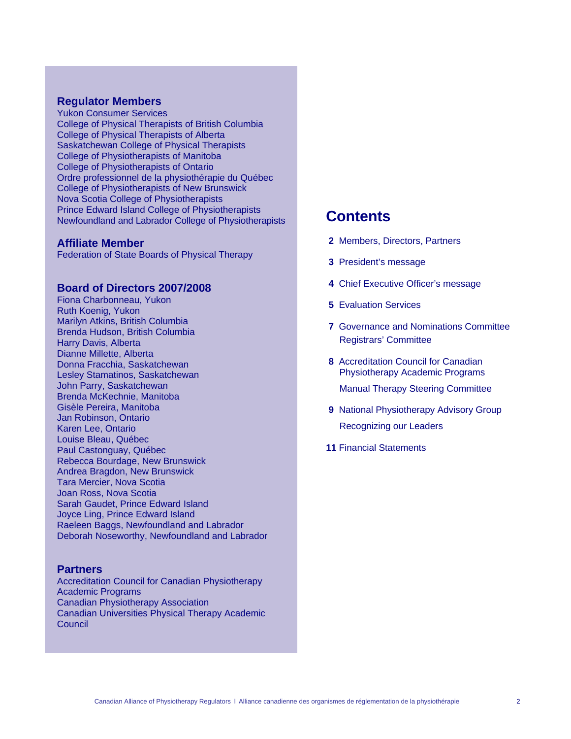#### **Regulator Members**

Yukon Consumer Services College of Physical Therapists of British Columbia College of Physical Therapists of Alberta Saskatchewan College of Physical Therapists College of Physiotherapists of Manitoba College of Physiotherapists of Ontario Ordre professionnel de la physiothérapie du Québec College of Physiotherapists of New Brunswick Nova Scotia College of Physiotherapists Prince Edward Island College of Physiotherapists Newfoundland and Labrador College of Physiotherapists

#### **Affiliate Member**

Federation of State Boards of Physical Therapy

#### **Board of Directors 2007/2008**

Fiona Charbonneau, Yukon Ruth Koenig, Yukon Marilyn Atkins, British Columbia Brenda Hudson, British Columbia Harry Davis, Alberta Dianne Millette, Alberta Donna Fracchia, Saskatchewan Lesley Stamatinos, Saskatchewan John Parry, Saskatchewan Brenda McKechnie, Manitoba Gisèle Pereira, Manitoba Jan Robinson, Ontario Karen Lee, Ontario Louise Bleau, Québec Paul Castonguay, Québec Rebecca Bourdage, New Brunswick Andrea Bragdon, New Brunswick Tara Mercier, Nova Scotia Joan Ross, Nova Scotia Sarah Gaudet, Prince Edward Island Joyce Ling, Prince Edward Island Raeleen Baggs, Newfoundland and Labrador Deborah Noseworthy, Newfoundland and Labrador

#### **Partners**

Accreditation Council for Canadian Physiotherapy Academic Programs Canadian Physiotherapy Association Canadian Universities Physical Therapy Academic Council

### **Contents**

- **2** Members, Directors, Partners
- **3** President's message
- **4** Chief Executive Officer's message
- **5** Evaluation Services
- **7** Governance and Nominations Committee Registrars' Committee
- **8** Accreditation Council for Canadian Physiotherapy Academic Programs Manual Therapy Steering Committee
- **9** National Physiotherapy Advisory Group Recognizing our Leaders
- **11** Financial Statements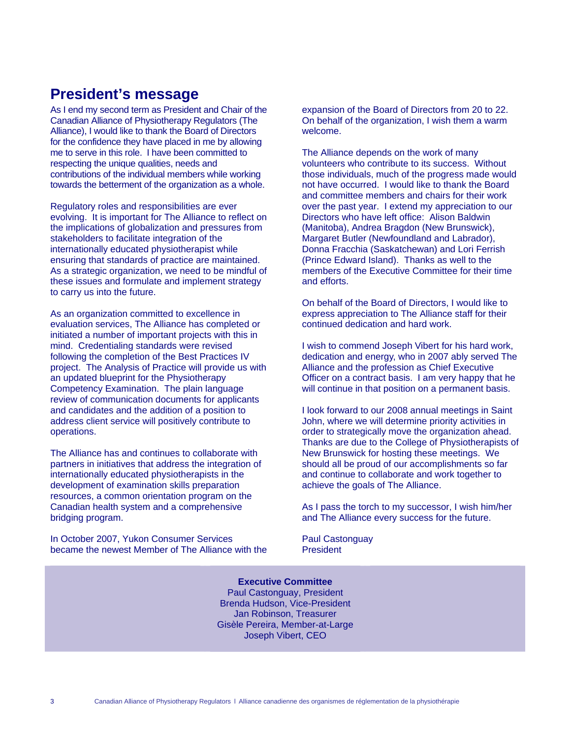## **President's message**

As I end my second term as President and Chair of the Canadian Alliance of Physiotherapy Regulators (The Alliance), I would like to thank the Board of Directors for the confidence they have placed in me by allowing me to serve in this role. I have been committed to respecting the unique qualities, needs and contributions of the individual members while working towards the betterment of the organization as a whole.

Regulatory roles and responsibilities are ever evolving. It is important for The Alliance to reflect on the implications of globalization and pressures from stakeholders to facilitate integration of the internationally educated physiotherapist while ensuring that standards of practice are maintained. As a strategic organization, we need to be mindful of these issues and formulate and implement strategy to carry us into the future.

As an organization committed to excellence in evaluation services, The Alliance has completed or initiated a number of important projects with this in mind. Credentialing standards were revised following the completion of the Best Practices IV project. The Analysis of Practice will provide us with an updated blueprint for the Physiotherapy Competency Examination. The plain language review of communication documents for applicants and candidates and the addition of a position to address client service will positively contribute to operations.

The Alliance has and continues to collaborate with partners in initiatives that address the integration of internationally educated physiotherapists in the development of examination skills preparation resources, a common orientation program on the Canadian health system and a comprehensive bridging program.

In October 2007, Yukon Consumer Services became the newest Member of The Alliance with the

expansion of the Board of Directors from 20 to 22. On behalf of the organization, I wish them a warm welcome.

The Alliance depends on the work of many volunteers who contribute to its success. Without those individuals, much of the progress made would not have occurred. I would like to thank the Board and committee members and chairs for their work over the past year. I extend my appreciation to our Directors who have left office: Alison Baldwin (Manitoba), Andrea Bragdon (New Brunswick), Margaret Butler (Newfoundland and Labrador), Donna Fracchia (Saskatchewan) and Lori Ferrish (Prince Edward Island). Thanks as well to the members of the Executive Committee for their time and efforts.

On behalf of the Board of Directors, I would like to express appreciation to The Alliance staff for their continued dedication and hard work.

I wish to commend Joseph Vibert for his hard work, dedication and energy, who in 2007 ably served The Alliance and the profession as Chief Executive Officer on a contract basis. I am very happy that he will continue in that position on a permanent basis.

I look forward to our 2008 annual meetings in Saint John, where we will determine priority activities in order to strategically move the organization ahead. Thanks are due to the College of Physiotherapists of New Brunswick for hosting these meetings. We should all be proud of our accomplishments so far and continue to collaborate and work together to achieve the goals of The Alliance.

As I pass the torch to my successor, I wish him/her and The Alliance every success for the future.

Paul Castonguay President

**Executive Committee** Paul Castonguay, President Brenda Hudson, Vice-President Jan Robinson, Treasurer Gisèle Pereira, Member-at-Large Joseph Vibert, CEO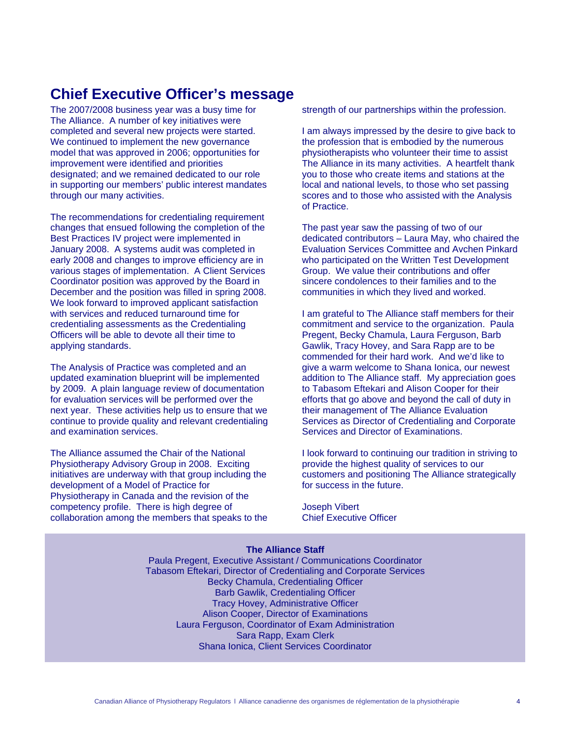## **Chief Executive Officer's message**

The 2007/2008 business year was a busy time for The Alliance. A number of key initiatives were completed and several new projects were started. We continued to implement the new governance model that was approved in 2006; opportunities for improvement were identified and priorities designated; and we remained dedicated to our role in supporting our members' public interest mandates through our many activities.

The recommendations for credentialing requirement changes that ensued following the completion of the Best Practices IV project were implemented in January 2008. A systems audit was completed in early 2008 and changes to improve efficiency are in various stages of implementation. A Client Services Coordinator position was approved by the Board in December and the position was filled in spring 2008. We look forward to improved applicant satisfaction with services and reduced turnaround time for credentialing assessments as the Credentialing Officers will be able to devote all their time to applying standards.

The Analysis of Practice was completed and an updated examination blueprint will be implemented by 2009. A plain language review of documentation for evaluation services will be performed over the next year. These activities help us to ensure that we continue to provide quality and relevant credentialing and examination services.

The Alliance assumed the Chair of the National Physiotherapy Advisory Group in 2008. Exciting initiatives are underway with that group including the development of a Model of Practice for Physiotherapy in Canada and the revision of the competency profile. There is high degree of collaboration among the members that speaks to the strength of our partnerships within the profession.

I am always impressed by the desire to give back to the profession that is embodied by the numerous physiotherapists who volunteer their time to assist The Alliance in its many activities. A heartfelt thank you to those who create items and stations at the local and national levels, to those who set passing scores and to those who assisted with the Analysis of Practice.

The past year saw the passing of two of our dedicated contributors – Laura May, who chaired the Evaluation Services Committee and Avchen Pinkard who participated on the Written Test Development Group. We value their contributions and offer sincere condolences to their families and to the communities in which they lived and worked.

I am grateful to The Alliance staff members for their commitment and service to the organization. Paula Pregent, Becky Chamula, Laura Ferguson, Barb Gawlik, Tracy Hovey, and Sara Rapp are to be commended for their hard work. And we'd like to give a warm welcome to Shana Ionica, our newest addition to The Alliance staff. My appreciation goes to Tabasom Eftekari and Alison Cooper for their efforts that go above and beyond the call of duty in their management of The Alliance Evaluation Services as Director of Credentialing and Corporate Services and Director of Examinations.

I look forward to continuing our tradition in striving to provide the highest quality of services to our customers and positioning The Alliance strategically for success in the future.

Joseph Vibert Chief Executive Officer

### **The Alliance Staff**

Paula Pregent, Executive Assistant / Communications Coordinator Tabasom Eftekari, Director of Credentialing and Corporate Services Becky Chamula, Credentialing Officer Barb Gawlik, Credentialing Officer Tracy Hovey, Administrative Officer Alison Cooper, Director of Examinations Laura Ferguson, Coordinator of Exam Administration Sara Rapp, Exam Clerk Shana Ionica, Client Services Coordinator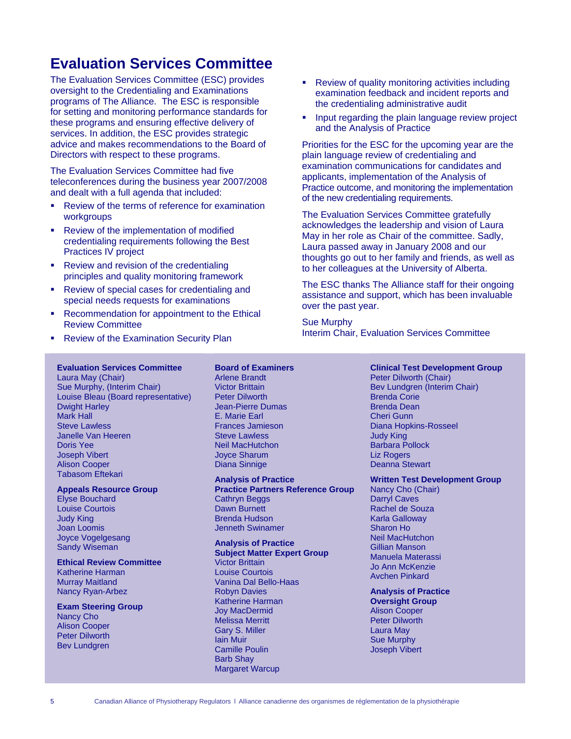# **Evaluation Services Committee**

The Evaluation Services Committee (ESC) provides oversight to the Credentialing and Examinations programs of The Alliance. The ESC is responsible for setting and monitoring performance standards for these programs and ensuring effective delivery of services. In addition, the ESC provides strategic advice and makes recommendations to the Board of Directors with respect to these programs.

The Evaluation Services Committee had five teleconferences during the business year 2007/2008 and dealt with a full agenda that included:

- Review of the terms of reference for examination workgroups
- **Review of the implementation of modified** credentialing requirements following the Best Practices IV project
- Review and revision of the credentialing principles and quality monitoring framework
- **Review of special cases for credentialing and** special needs requests for examinations
- **Recommendation for appointment to the Ethical** Review Committee
- **Review of the Examination Security Plan**

**Evaluation Services Committee** 

**Appeals Resource Group** 

**Ethical Review Committee**

Katherine Harman Murray Maitland Nancy Ryan-Arbez **Exam Steering Group** 

Nancy Cho Alison Cooper Peter Dilworth Bev Lundgren

Laura May (Chair)

Dwight Harley Mark Hall Steve Lawless Janelle Van Heeren

Elyse Bouchard Louise Courtois Judy King Joan Loomis Joyce Vogelgesang Sandy Wiseman

Doris Yee Joseph Vibert Alison Cooper Tabasom Eftekari

### Arlene Brandt Victor Brittain

**Board of Examiners** 

Sue Murphy, (Interim Chair) Louise Bleau (Board representative) Peter Dilworth Jean-Pierre Dumas E. Marie Earl Frances Jamieson Steve Lawless Neil MacHutchon Joyce Sharum Diana Sinnige

#### **Analysis of Practice Practice Partners Reference Group**  Cathryn Beggs Dawn Burnett Brenda Hudson

Jenneth Swinamer

### **Analysis of Practice**

**Subject Matter Expert Group**  Victor Brittain Louise Courtois Vanina Dal Bello-Haas Robyn Davies Katherine Harman Joy MacDermid Melissa Merritt Gary S. Miller Iain Muir Camille Poulin Barb Shay Margaret Warcup

- Review of quality monitoring activities including examination feedback and incident reports and the credentialing administrative audit
- **Input regarding the plain language review project** and the Analysis of Practice

Priorities for the ESC for the upcoming year are the plain language review of credentialing and examination communications for candidates and applicants, implementation of the Analysis of Practice outcome, and monitoring the implementation of the new credentialing requirements.

The Evaluation Services Committee gratefully acknowledges the leadership and vision of Laura May in her role as Chair of the committee. Sadly, Laura passed away in January 2008 and our thoughts go out to her family and friends, as well as to her colleagues at the University of Alberta.

The ESC thanks The Alliance staff for their ongoing assistance and support, which has been invaluable over the past year.

Sue Murphy Interim Chair, Evaluation Services Committee

#### **Clinical Test Development Group**

Peter Dilworth (Chair) Bev Lundgren (Interim Chair) Brenda Corie Brenda Dean Cheri Gunn Diana Hopkins-Rosseel Judy King Barbara Pollock Liz Rogers Deanna Stewart

**Written Test Development Group** 

Nancy Cho (Chair) Darryl Caves Rachel de Souza Karla Galloway Sharon Ho Neil MacHutchon Gillian Manson Manuela Materassi Jo Ann McKenzie Avchen Pinkard

**Analysis of Practice Oversight Group**  Alison Cooper Peter Dilworth Laura May Sue Murphy Joseph Vibert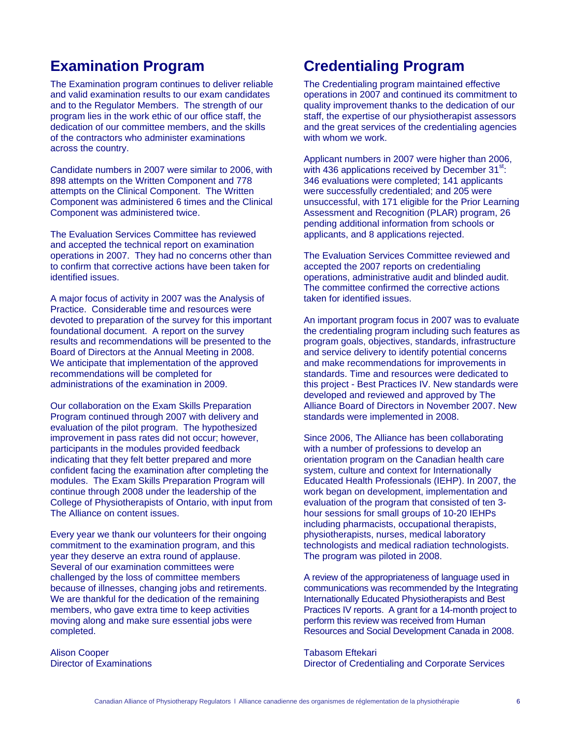### **Examination Program**

The Examination program continues to deliver reliable and valid examination results to our exam candidates and to the Regulator Members. The strength of our program lies in the work ethic of our office staff, the dedication of our committee members, and the skills of the contractors who administer examinations across the country.

Candidate numbers in 2007 were similar to 2006, with 898 attempts on the Written Component and 778 attempts on the Clinical Component. The Written Component was administered 6 times and the Clinical Component was administered twice.

The Evaluation Services Committee has reviewed and accepted the technical report on examination operations in 2007. They had no concerns other than to confirm that corrective actions have been taken for identified issues.

A major focus of activity in 2007 was the Analysis of Practice. Considerable time and resources were devoted to preparation of the survey for this important foundational document. A report on the survey results and recommendations will be presented to the Board of Directors at the Annual Meeting in 2008. We anticipate that implementation of the approved recommendations will be completed for administrations of the examination in 2009.

Our collaboration on the Exam Skills Preparation Program continued through 2007 with delivery and evaluation of the pilot program. The hypothesized improvement in pass rates did not occur; however, participants in the modules provided feedback indicating that they felt better prepared and more confident facing the examination after completing the modules. The Exam Skills Preparation Program will continue through 2008 under the leadership of the College of Physiotherapists of Ontario, with input from The Alliance on content issues.

Every year we thank our volunteers for their ongoing commitment to the examination program, and this year they deserve an extra round of applause. Several of our examination committees were challenged by the loss of committee members because of illnesses, changing jobs and retirements. We are thankful for the dedication of the remaining members, who gave extra time to keep activities moving along and make sure essential jobs were completed.

Alison Cooper Director of Examinations

# **Credentialing Program**

The Credentialing program maintained effective operations in 2007 and continued its commitment to quality improvement thanks to the dedication of our staff, the expertise of our physiotherapist assessors and the great services of the credentialing agencies with whom we work.

Applicant numbers in 2007 were higher than 2006, with 436 applications received by December  $31^{st}$ : 346 evaluations were completed; 141 applicants were successfully credentialed; and 205 were unsuccessful, with 171 eligible for the Prior Learning Assessment and Recognition (PLAR) program, 26 pending additional information from schools or applicants, and 8 applications rejected.

The Evaluation Services Committee reviewed and accepted the 2007 reports on credentialing operations, administrative audit and blinded audit. The committee confirmed the corrective actions taken for identified issues.

An important program focus in 2007 was to evaluate the credentialing program including such features as program goals, objectives, standards, infrastructure and service delivery to identify potential concerns and make recommendations for improvements in standards. Time and resources were dedicated to this project - Best Practices IV. New standards were developed and reviewed and approved by The Alliance Board of Directors in November 2007. New standards were implemented in 2008.

Since 2006, The Alliance has been collaborating with a number of professions to develop an orientation program on the Canadian health care system, culture and context for Internationally Educated Health Professionals (IEHP). In 2007, the work began on development, implementation and evaluation of the program that consisted of ten 3 hour sessions for small groups of 10-20 IEHPs including pharmacists, occupational therapists, physiotherapists, nurses, medical laboratory technologists and medical radiation technologists. The program was piloted in 2008.

A review of the appropriateness of language used in communications was recommended by the Integrating Internationally Educated Physiotherapists and Best Practices IV reports. A grant for a 14-month project to perform this review was received from Human Resources and Social Development Canada in 2008.

Tabasom Eftekari Director of Credentialing and Corporate Services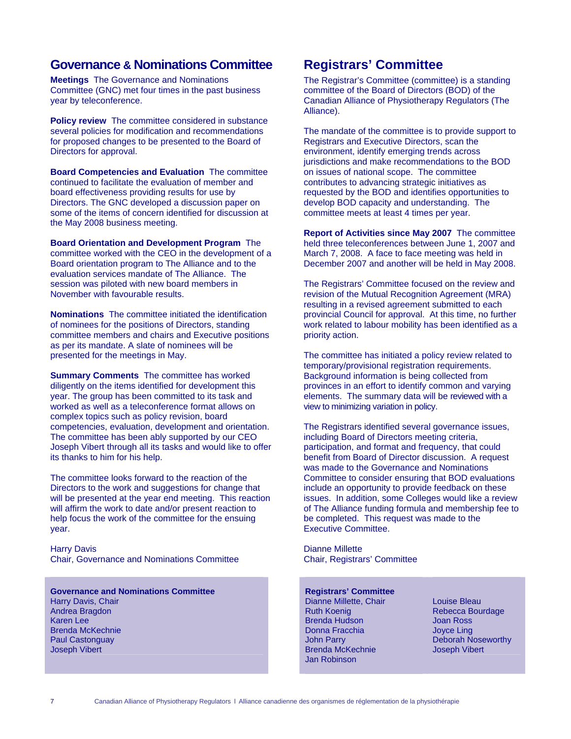### **Governance & Nominations Committee**

**Meetings** The Governance and Nominations Committee (GNC) met four times in the past business year by teleconference.

**Policy review** The committee considered in substance several policies for modification and recommendations for proposed changes to be presented to the Board of Directors for approval.

**Board Competencies and Evaluation** The committee continued to facilitate the evaluation of member and board effectiveness providing results for use by Directors. The GNC developed a discussion paper on some of the items of concern identified for discussion at the May 2008 business meeting.

**Board Orientation and Development Program** The committee worked with the CEO in the development of a Board orientation program to The Alliance and to the evaluation services mandate of The Alliance. The session was piloted with new board members in November with favourable results.

**Nominations** The committee initiated the identification of nominees for the positions of Directors, standing committee members and chairs and Executive positions as per its mandate. A slate of nominees will be presented for the meetings in May.

**Summary Comments** The committee has worked diligently on the items identified for development this year. The group has been committed to its task and worked as well as a teleconference format allows on complex topics such as policy revision, board competencies, evaluation, development and orientation. The committee has been ably supported by our CEO Joseph Vibert through all its tasks and would like to offer its thanks to him for his help.

The committee looks forward to the reaction of the Directors to the work and suggestions for change that will be presented at the year end meeting. This reaction will affirm the work to date and/or present reaction to help focus the work of the committee for the ensuing year.

Harry Davis Chair, Governance and Nominations Committee

**Governance and Nominations Committee** Harry Davis, Chair Andrea Bragdon Karen Lee Brenda McKechnie Paul Castonguay Joseph Vibert

### **Registrars' Committee**

The Registrar's Committee (committee) is a standing committee of the Board of Directors (BOD) of the Canadian Alliance of Physiotherapy Regulators (The Alliance).

The mandate of the committee is to provide support to Registrars and Executive Directors, scan the environment, identify emerging trends across jurisdictions and make recommendations to the BOD on issues of national scope. The committee contributes to advancing strategic initiatives as requested by the BOD and identifies opportunities to develop BOD capacity and understanding. The committee meets at least 4 times per year.

**Report of Activities since May 2007** The committee held three teleconferences between June 1, 2007 and March 7, 2008. A face to face meeting was held in December 2007 and another will be held in May 2008.

The Registrars' Committee focused on the review and revision of the Mutual Recognition Agreement (MRA) resulting in a revised agreement submitted to each provincial Council for approval. At this time, no further work related to labour mobility has been identified as a priority action.

The committee has initiated a policy review related to temporary/provisional registration requirements. Background information is being collected from provinces in an effort to identify common and varying elements. The summary data will be reviewed with a view to minimizing variation in policy.

The Registrars identified several governance issues, including Board of Directors meeting criteria, participation, and format and frequency, that could benefit from Board of Director discussion. A request was made to the Governance and Nominations Committee to consider ensuring that BOD evaluations include an opportunity to provide feedback on these issues. In addition, some Colleges would like a review of The Alliance funding formula and membership fee to be completed. This request was made to the Executive Committee.

Dianne Millette Chair, Registrars' Committee

#### **Registrars' Committee**

Dianne Millette, Chair Ruth Koenig Brenda Hudson Donna Fracchia John Parry Brenda McKechnie Jan Robinson

Louise Bleau Rebecca Bourdage Joan Ross Joyce Ling Deborah Noseworthy Joseph Vibert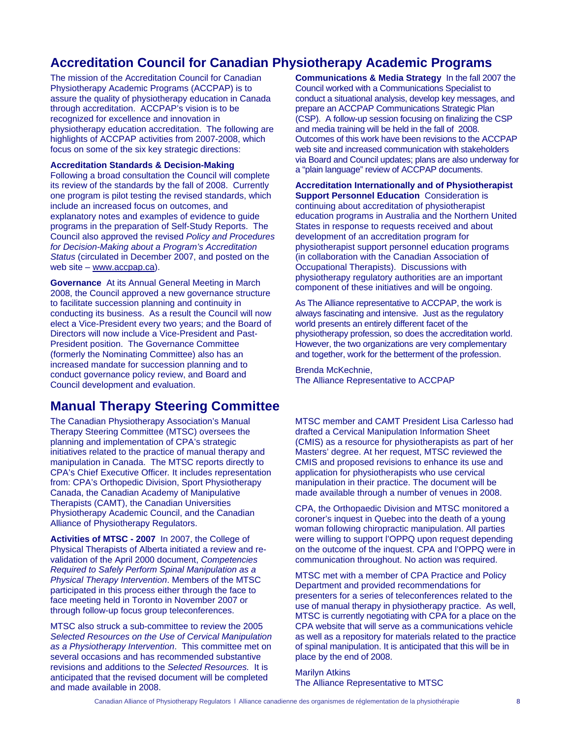### **Accreditation Council for Canadian Physiotherapy Academic Programs**

The mission of the Accreditation Council for Canadian Physiotherapy Academic Programs (ACCPAP) is to assure the quality of physiotherapy education in Canada through accreditation. ACCPAP's vision is to be recognized for excellence and innovation in physiotherapy education accreditation. The following are highlights of ACCPAP activities from 2007-2008, which focus on some of the six key strategic directions:

#### **Accreditation Standards & Decision-Making**

Following a broad consultation the Council will complete its review of the standards by the fall of 2008. Currently one program is pilot testing the revised standards, which include an increased focus on outcomes, and explanatory notes and examples of evidence to guide programs in the preparation of Self-Study Reports. The Council also approved the revised *Policy and Procedures for Decision-Making about a Program's Accreditation Status* (circulated in December 2007, and posted on the web site – www.accpap.ca).

**Governance**At its Annual General Meeting in March 2008, the Council approved a new governance structure to facilitate succession planning and continuity in conducting its business. As a result the Council will now elect a Vice-President every two years; and the Board of Directors will now include a Vice-President and Past-President position. The Governance Committee (formerly the Nominating Committee) also has an increased mandate for succession planning and to conduct governance policy review, and Board and Council development and evaluation.

### **Manual Therapy Steering Committee**

The Canadian Physiotherapy Association's Manual Therapy Steering Committee (MTSC) oversees the planning and implementation of CPA's strategic initiatives related to the practice of manual therapy and manipulation in Canada. The MTSC reports directly to CPA's Chief Executive Officer*.* It includes representation from: CPA's Orthopedic Division, Sport Physiotherapy Canada, the Canadian Academy of Manipulative Therapists (CAMT), the Canadian Universities Physiotherapy Academic Council, and the Canadian Alliance of Physiotherapy Regulators.

**Activities of MTSC - 2007** In 2007, the College of Physical Therapists of Alberta initiated a review and revalidation of the April 2000 document, *Competencies Required to Safely Perform Spinal Manipulation as a Physical Therapy Intervention*. Members of the MTSC participated in this process either through the face to face meeting held in Toronto in November 2007 or through follow-up focus group teleconferences.

MTSC also struck a sub-committee to review the 2005 *Selected Resources on the Use of Cervical Manipulation as a Physiotherapy Intervention*. This committee met on several occasions and has recommended substantive revisions and additions to the *Selected Resources.* It is anticipated that the revised document will be completed and made available in 2008.

**Communications & Media Strategy**In the fall 2007 the Council worked with a Communications Specialist to conduct a situational analysis, develop key messages, and prepare an ACCPAP Communications Strategic Plan (CSP). A follow-up session focusing on finalizing the CSP and media training will be held in the fall of 2008. Outcomes of this work have been revisions to the ACCPAP web site and increased communication with stakeholders via Board and Council updates; plans are also underway for a "plain language" review of ACCPAP documents.

#### **Accreditation Internationally and of Physiotherapist Support Personnel Education** Consideration is continuing about accreditation of physiotherapist education programs in Australia and the Northern United States in response to requests received and about development of an accreditation program for physiotherapist support personnel education programs (in collaboration with the Canadian Association of Occupational Therapists). Discussions with physiotherapy regulatory authorities are an important component of these initiatives and will be ongoing.

As The Alliance representative to ACCPAP, the work is always fascinating and intensive. Just as the regulatory world presents an entirely different facet of the physiotherapy profession, so does the accreditation world. However, the two organizations are very complementary and together, work for the betterment of the profession.

Brenda McKechnie, The Alliance Representative to ACCPAP

MTSC member and CAMT President Lisa Carlesso had drafted a Cervical Manipulation Information Sheet (CMIS) as a resource for physiotherapists as part of her Masters' degree. At her request, MTSC reviewed the CMIS and proposed revisions to enhance its use and application for physiotherapists who use cervical manipulation in their practice. The document will be made available through a number of venues in 2008.

CPA, the Orthopaedic Division and MTSC monitored a coroner's inquest in Quebec into the death of a young woman following chiropractic manipulation. All parties were willing to support l'OPPQ upon request depending on the outcome of the inquest. CPA and l'OPPQ were in communication throughout. No action was required.

MTSC met with a member of CPA Practice and Policy Department and provided recommendations for presenters for a series of teleconferences related to the use of manual therapy in physiotherapy practice. As well, MTSC is currently negotiating with CPA for a place on the CPA website that will serve as a communications vehicle as well as a repository for materials related to the practice of spinal manipulation. It is anticipated that this will be in place by the end of 2008.

Marilyn Atkins The Alliance Representative to MTSC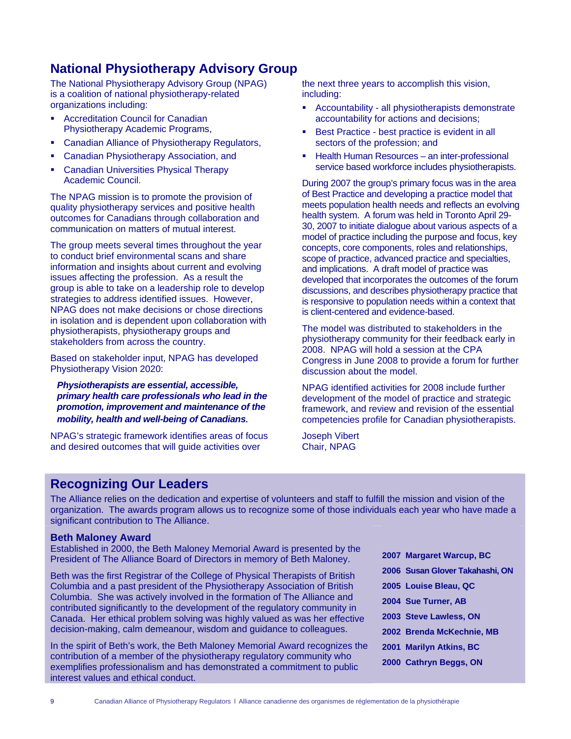### **National Physiotherapy Advisory Group**

The National Physiotherapy Advisory Group (NPAG) is a coalition of national physiotherapy-related organizations including:

- Accreditation Council for Canadian Physiotherapy Academic Programs,
- Canadian Alliance of Physiotherapy Regulators,
- Canadian Physiotherapy Association, and
- Canadian Universities Physical Therapy Academic Council.

The NPAG mission is to promote the provision of quality physiotherapy services and positive health outcomes for Canadians through collaboration and communication on matters of mutual interest.

The group meets several times throughout the year to conduct brief environmental scans and share information and insights about current and evolving issues affecting the profession. As a result the group is able to take on a leadership role to develop strategies to address identified issues. However, NPAG does not make decisions or chose directions in isolation and is dependent upon collaboration with physiotherapists, physiotherapy groups and stakeholders from across the country.

Based on stakeholder input, NPAG has developed Physiotherapy Vision 2020:

*Physiotherapists are essential, accessible, primary health care professionals who lead in the promotion, improvement and maintenance of the mobility, health and well-being of Canadians.*

NPAG's strategic framework identifies areas of focus and desired outcomes that will guide activities over

the next three years to accomplish this vision, including:

- Accountability all physiotherapists demonstrate accountability for actions and decisions;
- Best Practice best practice is evident in all sectors of the profession; and
- Health Human Resources an inter-professional service based workforce includes physiotherapists.

During 2007 the group's primary focus was in the area of Best Practice and developing a practice model that meets population health needs and reflects an evolving health system. A forum was held in Toronto April 29- 30, 2007 to initiate dialogue about various aspects of a model of practice including the purpose and focus, key concepts, core components, roles and relationships, scope of practice, advanced practice and specialties, and implications. A draft model of practice was developed that incorporates the outcomes of the forum discussions, and describes physiotherapy practice that is responsive to population needs within a context that is client-centered and evidence-based.

The model was distributed to stakeholders in the physiotherapy community for their feedback early in 2008. NPAG will hold a session at the CPA Congress in June 2008 to provide a forum for further discussion about the model.

NPAG identified activities for 2008 include further development of the model of practice and strategic framework, and review and revision of the essential competencies profile for Canadian physiotherapists.

Joseph Vibert Chair, NPAG

### **Recognizing Our Leaders**

The Alliance relies on the dedication and expertise of volunteers and staff to fulfill the mission and vision of the organization. The awards program allows us to recognize some of those individuals each year who have made a significant contribution to The Alliance.

#### **Beth Maloney Award**

Established in 2000, the Beth Maloney Memorial Award is presented by the President of The Alliance Board of Directors in memory of Beth Maloney.

Beth was the first Registrar of the College of Physical Therapists of British Columbia and a past president of the Physiotherapy Association of British Columbia. She was actively involved in the formation of The Alliance and contributed significantly to the development of the regulatory community in Canada. Her ethical problem solving was highly valued as was her effective decision-making, calm demeanour, wisdom and guidance to colleagues.

In the spirit of Beth's work, the Beth Maloney Memorial Award recognizes the contribution of a member of the physiotherapy regulatory community who exemplifies professionalism and has demonstrated a commitment to public interest values and ethical conduct.

| 2007 Margaret Warcup, BC        |
|---------------------------------|
| 2006 Susan Glover Takahashi, ON |
| 2005 Louise Bleau, QC           |
| 2004 Sue Turner, AB             |
| 2003 Steve Lawless, ON          |
| 2002 Brenda McKechnie, MB       |
| 2001 Marilyn Atkins, BC         |
| 2000 Cathryn Beggs, ON          |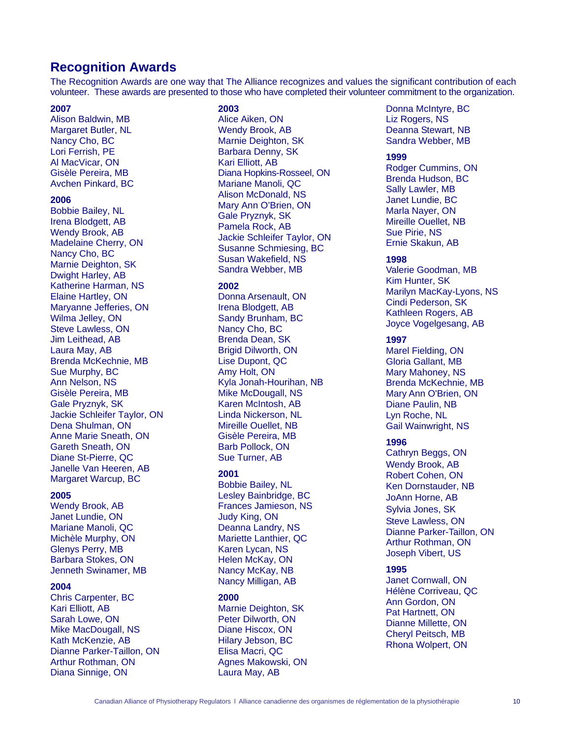### **Recognition Awards**

The Recognition Awards are one way that The Alliance recognizes and values the significant contribution of each volunteer. These awards are presented to those who have completed their volunteer commitment to the organization.

#### **2007**

Alison Baldwin, MB Margaret Butler, NL Nancy Cho, BC Lori Ferrish, PE Al MacVicar, ON Gisèle Pereira, MB Avchen Pinkard, BC

#### **2006**

Bobbie Bailey, NL Irena Blodgett, AB Wendy Brook, AB Madelaine Cherry, ON Nancy Cho, BC Marnie Deighton, SK Dwight Harley, AB Katherine Harman, NS Elaine Hartley, ON Maryanne Jefferies, ON Wilma Jelley, ON Steve Lawless, ON Jim Leithead, AB Laura May, AB Brenda McKechnie, MB Sue Murphy, BC Ann Nelson, NS Gisèle Pereira, MB Gale Pryznyk, SK Jackie Schleifer Taylor, ON Dena Shulman, ON Anne Marie Sneath, ON Gareth Sneath, ON Diane St-Pierre, QC Janelle Van Heeren, AB Margaret Warcup, BC

#### **2005**

Wendy Brook, AB Janet Lundie, ON Mariane Manoli, QC Michèle Murphy, ON Glenys Perry, MB Barbara Stokes, ON Jenneth Swinamer, MB

#### **2004**

Chris Carpenter, BC Kari Elliott, AB Sarah Lowe, ON Mike MacDougall, NS Kath McKenzie, AB Dianne Parker-Taillon, ON Arthur Rothman, ON Diana Sinnige, ON

#### **2003**

Alice Aiken, ON Wendy Brook, AB Marnie Deighton, SK Barbara Denny, SK Kari Elliott, AB Diana Hopkins-Rosseel, ON Mariane Manoli, QC Alison McDonald, NS Mary Ann O'Brien, ON Gale Pryznyk, SK Pamela Rock, AB Jackie Schleifer Taylor, ON Susanne Schmiesing, BC Susan Wakefield, NS Sandra Webber, MB

#### **2002**

Donna Arsenault, ON Irena Blodgett, AB Sandy Brunham, BC Nancy Cho, BC Brenda Dean, SK Brigid Dilworth, ON Lise Dupont, QC Amy Holt, ON Kyla Jonah-Hourihan, NB Mike McDougall, NS Karen McIntosh, AB Linda Nickerson, NL Mireille Ouellet, NB Gisèle Pereira, MB Barb Pollock, ON Sue Turner, AB

#### **2001**

Bobbie Bailey, NL Lesley Bainbridge, BC Frances Jamieson, NS Judy King, ON Deanna Landry, NS Mariette Lanthier, QC Karen Lycan, NS Helen McKay, ON Nancy McKay, NB Nancy Milligan, AB

#### **2000**

Marnie Deighton, SK Peter Dilworth, ON Diane Hiscox, ON Hilary Jebson, BC Elisa Macri, QC Agnes Makowski, ON Laura May, AB

Donna McIntyre, BC Liz Rogers, NS Deanna Stewart, NB Sandra Webber, MB

#### **1999**

Rodger Cummins, ON Brenda Hudson, BC Sally Lawler, MB Janet Lundie, BC Marla Nayer, ON Mireille Ouellet, NB Sue Pirie, NS Ernie Skakun, AB

#### **1998**

Valerie Goodman, MB Kim Hunter, SK Marilyn MacKay-Lyons, NS Cindi Pederson, SK Kathleen Rogers, AB Joyce Vogelgesang, AB

#### **1997**

Marel Fielding, ON Gloria Gallant, MB Mary Mahoney, NS Brenda McKechnie, MB Mary Ann O'Brien, ON Diane Paulin, NB Lyn Roche, NL Gail Wainwright, NS

#### **1996**

Cathryn Beggs, ON Wendy Brook, AB Robert Cohen, ON Ken Dornstauder, NB JoAnn Horne, AB Sylvia Jones, SK Steve Lawless, ON Dianne Parker-Taillon, ON Arthur Rothman, ON Joseph Vibert, US

#### **1995**

Janet Cornwall, ON Hélène Corriveau, QC Ann Gordon, ON Pat Hartnett, ON Dianne Millette, ON Cheryl Peitsch, MB Rhona Wolpert, ON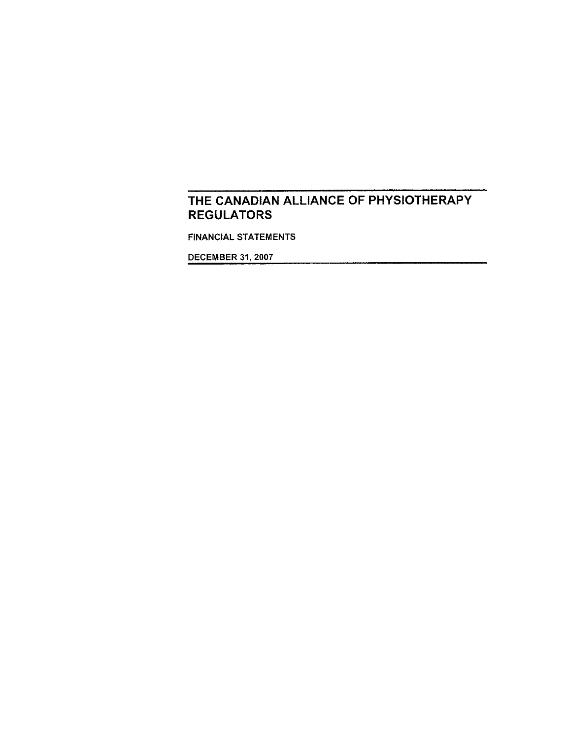**FINANCIAL STATEMENTS** 

**DECEMBER 31, 2007** 

 $\sim 10^{-1}$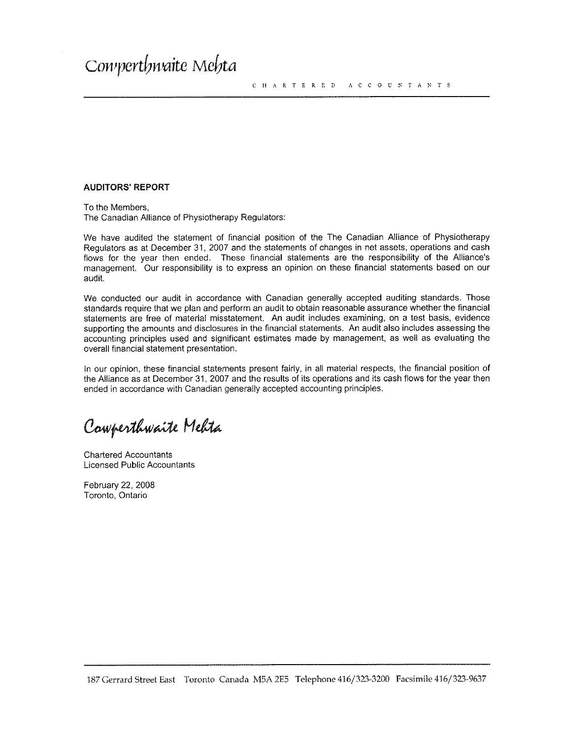#### **AUDITORS' REPORT**

To the Members. The Canadian Alliance of Physiotherapy Regulators:

We have audited the statement of financial position of the The Canadian Alliance of Physiotherapy Requlators as at December 31, 2007 and the statements of changes in net assets, operations and cash flows for the year then ended. These financial statements are the responsibility of the Alliance's management. Our responsibility is to express an opinion on these financial statements based on our audit.

We conducted our audit in accordance with Canadian generally accepted auditing standards. Those standards require that we plan and perform an audit to obtain reasonable assurance whether the financial statements are free of material misstatement. An audit includes examining, on a test basis, evidence supporting the amounts and disclosures in the financial statements. An audit also includes assessing the accounting principles used and significant estimates made by management, as well as evaluating the overall financial statement presentation.

In our opinion, these financial statements present fairly, in all material respects, the financial position of the Alliance as at December 31, 2007 and the results of its operations and its cash flows for the year then ended in accordance with Canadian generally accepted accounting principles.

Comperthwaite Mehta

**Chartered Accountants Licensed Public Accountants** 

February 22, 2008 Toronto, Ontario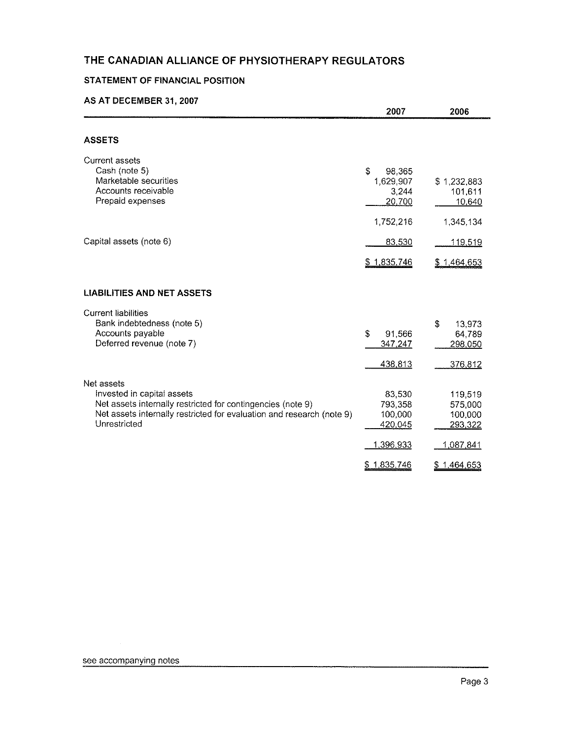### **STATEMENT OF FINANCIAL POSITION**

#### AS AT DECEMBER 31, 2007

| 1,629,907<br>3,244<br>20,700<br>1,752,216                   | \$1,232,883<br>101,611<br>10,640<br>1,345,134                        |
|-------------------------------------------------------------|----------------------------------------------------------------------|
| 83,530                                                      | <u> 119,519</u>                                                      |
| \$1,835,746                                                 | \$1,464,653                                                          |
|                                                             |                                                                      |
| \$<br>91,566<br>347,247<br>438,813                          | \$<br>13,973<br>64,789<br>298,050<br>376,812                         |
| 83,530<br>793,358<br>100,000<br>420,045<br><u>1,396,933</u> | 119,519<br>575,000<br>100,000<br>293,322<br>1,087,841<br>\$1,464,653 |
|                                                             | \$<br>98,365<br>\$1,835,746                                          |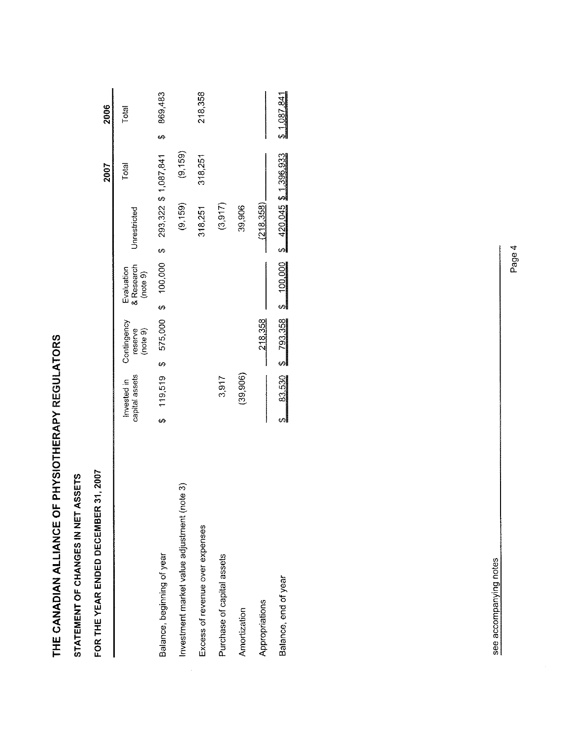| こくここに Lく Lくこ<br>í |
|-------------------|
|                   |
|                   |
|                   |
|                   |
|                   |
|                   |
|                   |
|                   |
| - 1<br>- 1<br>- 1 |
|                   |
|                   |
| - 11:11:11        |

STATEMENT OF CHANGES IN NET ASSETS

FOR THE YEAR ENDED DECEMBER 31, 2007

|                                            |                               |                                    |                                      |              | 2007                    | 2006        |
|--------------------------------------------|-------------------------------|------------------------------------|--------------------------------------|--------------|-------------------------|-------------|
|                                            | capital assets<br>Invested in | Contingency<br>(note 9)<br>reserve | Evaluation<br>& Research<br>(note 9) | Unrestricted | Total                   | Total       |
| Balance, beginning of year                 | 119,519<br>Ģ                  | \$ 575,000 \$ 100,000              |                                      |              | $$293,322$$ \$1,087,841 | 869,483     |
| nvestment market value adjustment (note 3) |                               |                                    |                                      | (9, 159)     | (9.159)                 |             |
| Excess of revenue over expenses            |                               |                                    |                                      | 318,251      | 318,251                 | 218,358     |
| Purchase of capital assets                 | 3,917                         |                                    |                                      | (3.917)      |                         |             |
| Amortization                               | (39, 906)                     |                                    |                                      | 39,906       |                         |             |
| Appropriations                             |                               | 218,358                            |                                      | (218.358)    |                         |             |
| Balance, end of year                       | 83,530                        | $$793,358$ \$100,000               |                                      |              | $$420,045$$ \$1,396,933 | \$1,087,841 |
|                                            |                               |                                    |                                      |              |                         |             |

see accompanying notes

 $\frac{1}{2}$ 

Page 4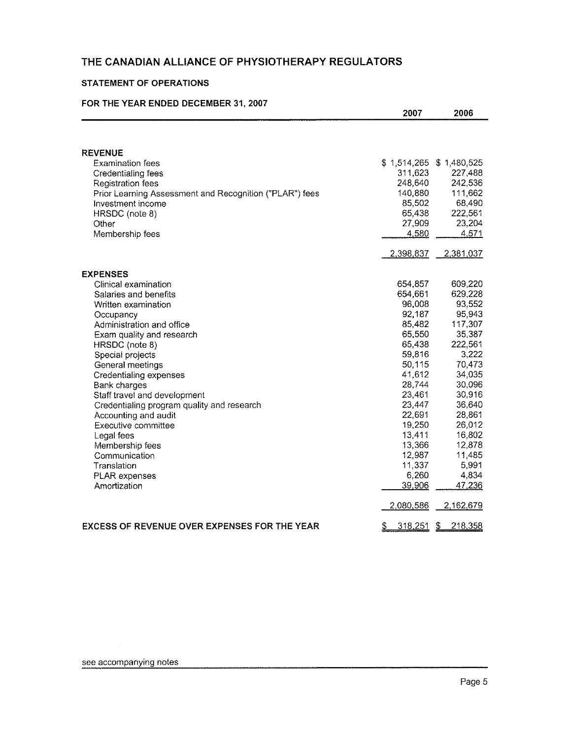#### **STATEMENT OF OPERATIONS**

#### FOR THE YEAR ENDED DECEMBER 31, 2007

|                                                         | 2007                      | 2006          |
|---------------------------------------------------------|---------------------------|---------------|
|                                                         |                           |               |
| <b>REVENUE</b>                                          |                           |               |
| <b>Examination fees</b>                                 | $$1,514,265$ $$1,480,525$ |               |
| Credentialing fees                                      | 311,623                   | 227,488       |
| Registration fees                                       | 248,640                   | 242,536       |
| Prior Learning Assessment and Recognition ("PLAR") fees | 140,880                   | 111,662       |
| Investment income                                       | 85,502                    | 68,490        |
| HRSDC (note 8)                                          | 65,438                    | 222,561       |
| Other                                                   | 27,909                    | 23,204        |
| Membership fees                                         | 4,580                     | 4,571         |
|                                                         | 2,398,837                 | 2,381,037     |
| <b>EXPENSES</b>                                         |                           |               |
| Clinical examination                                    | 654,857                   | 609,220       |
| Salaries and benefits                                   | 654,661                   | 629,228       |
| Written examination                                     | 96,008                    | 93,552        |
| Occupancy                                               | 92,187                    | 95,943        |
| Administration and office                               | 85,482                    | 117,307       |
| Exam quality and research                               | 65,550                    | 35,387        |
| HRSDC (note 8)                                          | 65,438                    | 222,561       |
| Special projects                                        | 59,816                    | 3,222         |
| General meetings                                        | 50,115                    | 70,473        |
| <b>Credentialing expenses</b>                           | 41,612                    | 34,035        |
| Bank charges                                            | 28,744                    | 30,096        |
| Staff travel and development                            | 23,461                    | 30,916        |
| Credentialing program quality and research              | 23,447                    | 36,640        |
| Accounting and audit                                    | 22,691                    | 28,861        |
| Executive committee                                     | 19,250                    | 26,012        |
| Legal fees                                              | 13,411                    | 16,802        |
| Membership fees                                         | 13,366                    | 12,878        |
| Communication                                           | 12,987                    | 11,485        |
| Translation                                             | 11,337                    | 5,991         |
| <b>PLAR</b> expenses                                    | 6,260                     | 4,834         |
| Amortization                                            | 39,906                    | 47,236        |
|                                                         | 2,080,586                 | 2,162,679     |
| <b>EXCESS OF REVENUE OVER EXPENSES FOR THE YEAR</b>     | <u>318,251</u><br>£       | 218,358<br>S. |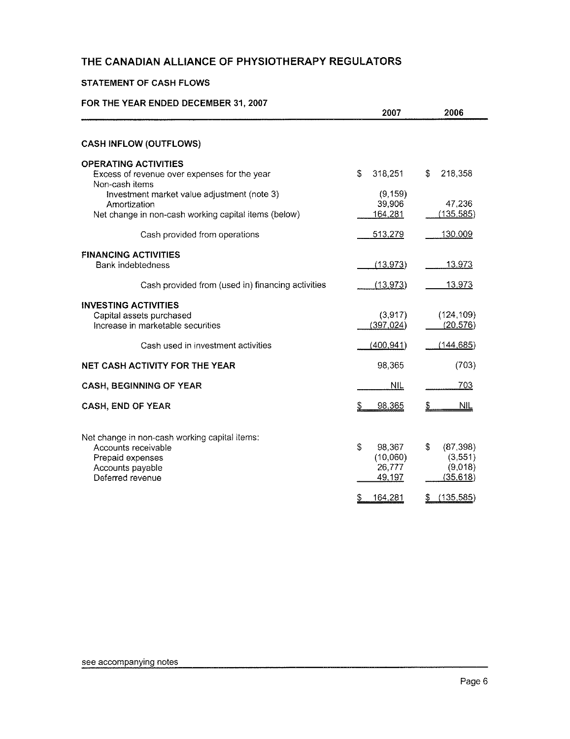#### STATEMENT OF CASH FLOWS

#### FOR THE YEAR ENDED DECEMBER 31, 2007

|                                                                                                                                  | 2007                                                    | 2006                                             |
|----------------------------------------------------------------------------------------------------------------------------------|---------------------------------------------------------|--------------------------------------------------|
|                                                                                                                                  |                                                         |                                                  |
| <b>CASH INFLOW (OUTFLOWS)</b>                                                                                                    |                                                         |                                                  |
| <b>OPERATING ACTIVITIES</b><br>Excess of revenue over expenses for the year<br>Non-cash items                                    | \$<br>318,251                                           | S<br>218,358                                     |
| Investment market value adjustment (note 3)<br>Amortization                                                                      | (9, 159)<br>39,906                                      | 47,236                                           |
| Net change in non-cash working capital items (below)                                                                             | 164,281                                                 | (135, 585)                                       |
| Cash provided from operations                                                                                                    | 513,279                                                 | 130,009                                          |
| <b>FINANCING ACTIVITIES</b><br>Bank indebtedness                                                                                 | (13, 973)                                               | 13,973                                           |
| Cash provided from (used in) financing activities                                                                                | (13, 973)                                               | <u> 13,973</u>                                   |
| <b>INVESTING ACTIVITIES</b><br>Capital assets purchased<br>Increase in marketable securities                                     | (3,917)<br>(397, 024)                                   | (124, 109)<br>(20, 576)                          |
| Cash used in investment activities                                                                                               | (400, 941)                                              | (144, 685)                                       |
| <b>NET CASH ACTIVITY FOR THE YEAR</b>                                                                                            | 98,365                                                  | (703)                                            |
| <b>CASH, BEGINNING OF YEAR</b>                                                                                                   | <b>NIL</b>                                              | 703                                              |
| <b>CASH, END OF YEAR</b>                                                                                                         | 98,365<br>S.                                            | $\mathfrak{L}$<br>NIL.                           |
| Net change in non-cash working capital items:<br>Accounts receivable<br>Prepaid expenses<br>Accounts payable<br>Deferred revenue | $\mathcal{S}$<br>98,367<br>(10,060)<br>26,777<br>49,197 | S<br>(87, 398)<br>(3,551)<br>(9,018)<br>(35,618) |
|                                                                                                                                  | 164,281<br>\$                                           | (135, 585)<br>\$                                 |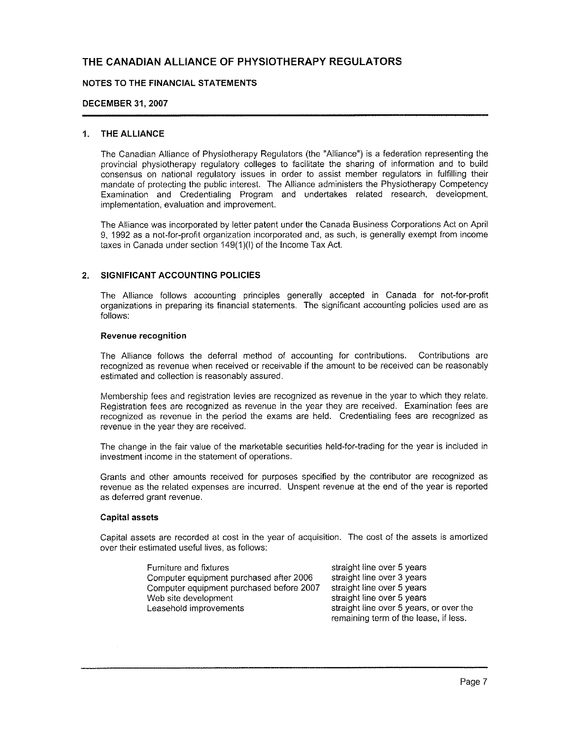#### NOTES TO THE FINANCIAL STATEMENTS

#### **DECEMBER 31, 2007**

#### 1. THE ALLIANCE

The Canadian Alliance of Physiotherapy Regulators (the "Alliance") is a federation representing the provincial physiotherapy requlatory colleges to facilitate the sharing of information and to build consensus on national regulatory issues in order to assist member regulators in fulfilling their mandate of protecting the public interest. The Alliance administers the Physiotherapy Competency Examination and Credentialing Program and undertakes related research, development, implementation, evaluation and improvement.

The Alliance was incorporated by letter patent under the Canada Business Corporations Act on April 9. 1992 as a not-for-profit organization incorporated and, as such, is generally exempt from income taxes in Canada under section 149(1)(I) of the Income Tax Act.

#### SIGNIFICANT ACCOUNTING POLICIES  $2.$

The Alliance follows accounting principles generally accepted in Canada for not-for-profit organizations in preparing its financial statements. The significant accounting policies used are as follows:

#### **Revenue recognition**

The Alliance follows the deferral method of accounting for contributions. Contributions are recognized as revenue when received or receivable if the amount to be received can be reasonably estimated and collection is reasonably assured.

Membership fees and registration levies are recognized as revenue in the year to which they relate. Registration fees are recognized as revenue in the year they are received. Examination fees are recognized as revenue in the period the exams are held. Credentialing fees are recognized as revenue in the vear they are received.

The change in the fair value of the marketable securities held-for-trading for the year is included in investment income in the statement of operations.

Grants and other amounts received for purposes specified by the contributor are recognized as revenue as the related expenses are incurred. Unspent revenue at the end of the year is reported as deferred grant revenue.

#### **Capital assets**

Capital assets are recorded at cost in the year of acquisition. The cost of the assets is amortized over their estimated useful lives, as follows:

| Furniture and fixtures                   | straight line over 5 years              |
|------------------------------------------|-----------------------------------------|
| Computer equipment purchased after 2006  | straight line over 3 years              |
| Computer equipment purchased before 2007 | straight line over 5 years              |
| Web site development                     | straight line over 5 years              |
| Leasehold improvements                   | straight line over 5 years, or over the |
|                                          | remaining term of the lease, if less.   |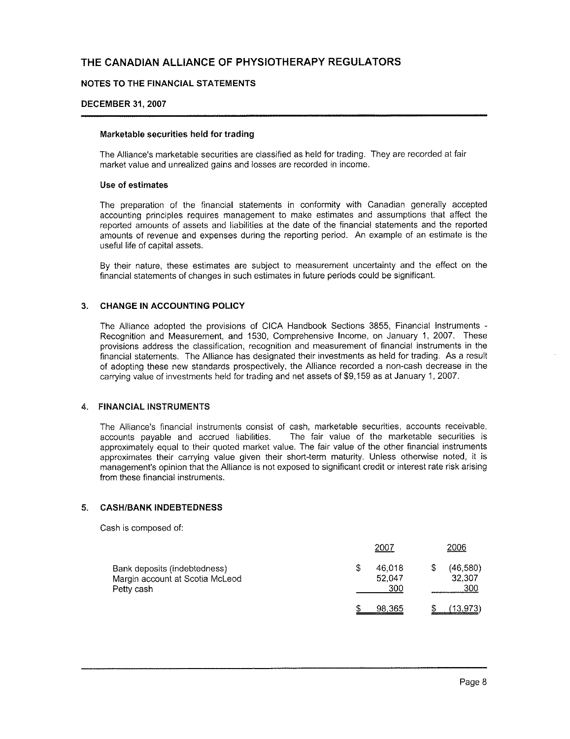#### NOTES TO THE FINANCIAL STATEMENTS

#### **DECEMBER 31, 2007**

#### Marketable securities held for trading

The Alliance's marketable securities are classified as held for trading. They are recorded at fair market value and unrealized gains and losses are recorded in income.

#### Use of estimates

The preparation of the financial statements in conformity with Canadian generally accepted accounting principles requires management to make estimates and assumptions that affect the reported amounts of assets and liabilities at the date of the financial statements and the reported amounts of revenue and expenses during the reporting period. An example of an estimate is the useful life of capital assets.

By their nature, these estimates are subject to measurement uncertainty and the effect on the financial statements of changes in such estimates in future periods could be significant.

#### 3. CHANGE IN ACCOUNTING POLICY

The Alliance adopted the provisions of CICA Handbook Sections 3855. Financial Instruments -Recognition and Measurement, and 1530, Comprehensive Income, on January 1, 2007. These provisions address the classification, recognition and measurement of financial instruments in the financial statements. The Alliance has designated their investments as held for trading. As a result of adopting these new standards prospectively, the Alliance recorded a non-cash decrease in the carrying value of investments held for trading and net assets of \$9,159 as at January 1, 2007.

#### 4. FINANCIAL INSTRUMENTS

The Alliance's financial instruments consist of cash, marketable securities, accounts receivable, accounts pavable and accrued liabilities. The fair value of the marketable securities is approximately equal to their quoted market value. The fair value of the other financial instruments approximates their carrying value given their short-term maturity. Unless otherwise noted, it is management's opinion that the Alliance is not exposed to significant credit or interest rate risk arising from these financial instruments.

#### **CASH/BANK INDEBTEDNESS**  $\mathbf{F}_{\mathbf{r}}$

Cash is composed of:

|                                                                               | 2007                    | 2006                       |
|-------------------------------------------------------------------------------|-------------------------|----------------------------|
| Bank deposits (indebtedness)<br>Margin account at Scotia McLeod<br>Petty cash | 46.018<br>52.047<br>300 | (46, 580)<br>32.307<br>300 |
|                                                                               | 98,365                  | (13.973)                   |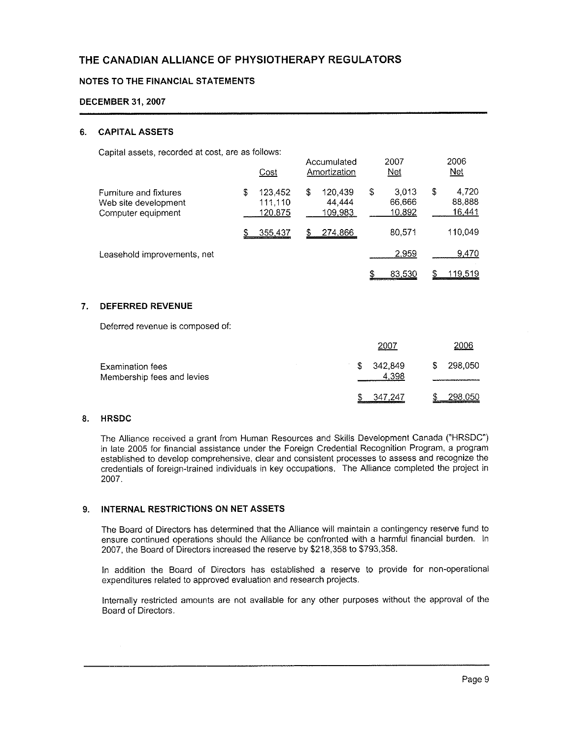#### NOTES TO THE FINANCIAL STATEMENTS

#### **DECEMBER 31, 2007**

#### **CAPITAL ASSETS** 6.

Capital assets, recorded at cost, are as follows:

|                                                                      |   | Cost                          |    | Accumulated<br>Amortization  |   | 2007<br>Net               | 2006<br><b>Net</b>              |
|----------------------------------------------------------------------|---|-------------------------------|----|------------------------------|---|---------------------------|---------------------------------|
| Furniture and fixtures<br>Web site development<br>Computer equipment | S | 123.452<br>111.110<br>120,875 | S  | 120,439<br>44,444<br>109.983 | S | 3.013<br>66.666<br>10.892 | \$<br>4,720<br>88,888<br>16,441 |
|                                                                      |   | 355,437                       | \$ | 274,866                      |   | 80.571                    | 110.049                         |
| Leasehold improvements, net                                          |   |                               |    |                              |   | 2.959                     | 9,470                           |
|                                                                      |   |                               |    |                              | S | 83.530                    | 119.519                         |

#### 7. DEFERRED REVENUE

Deferred revenue is composed of:

|                                                       | 2007               | 2006          |
|-------------------------------------------------------|--------------------|---------------|
| <b>Examination fees</b><br>Membership fees and levies | \$342.849<br>4.398 | 298,050<br>S. |
|                                                       | 347.247            | 298,050       |

#### 8. HRSDC

The Alliance received a grant from Human Resources and Skills Development Canada ("HRSDC") in late 2005 for financial assistance under the Foreign Credential Recognition Program, a program established to develop comprehensive, clear and consistent processes to assess and recognize the credentials of foreign-trained individuals in key occupations. The Alliance completed the project in 2007.

#### 9. INTERNAL RESTRICTIONS ON NET ASSETS

The Board of Directors has determined that the Alliance will maintain a contingency reserve fund to ensure continued operations should the Alliance be confronted with a harmful financial burden. In 2007, the Board of Directors increased the reserve by \$218,358 to \$793,358.

In addition the Board of Directors has established a reserve to provide for non-operational expenditures related to approved evaluation and research projects.

Internally restricted amounts are not available for any other purposes without the approval of the Board of Directors.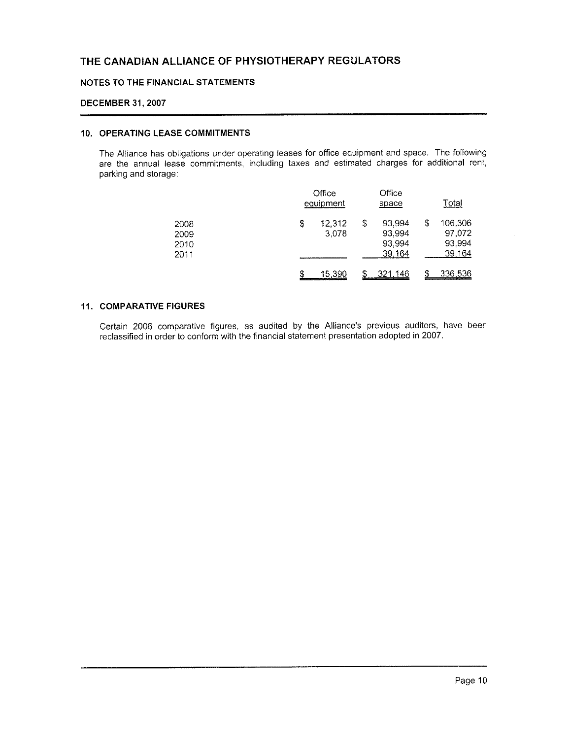#### NOTES TO THE FINANCIAL STATEMENTS

#### **DECEMBER 31, 2007**

#### **10. OPERATING LEASE COMMITMENTS**

The Alliance has obligations under operating leases for office equipment and space. The following are the annual lease commitments, including taxes and estimated charges for additional rent, parking and storage:

|                              |                                                                                | Office<br>equipment                        |                                      |   | <u>Total</u>                          |
|------------------------------|--------------------------------------------------------------------------------|--------------------------------------------|--------------------------------------|---|---------------------------------------|
| 2008<br>2009<br>2010<br>2011 | \$                                                                             | \$<br>12,312<br>3,078<br>_________________ | 93,994<br>93.994<br>93.994<br>39,164 | S | 106,306<br>97,072<br>93,994<br>39.164 |
|                              | The main company company and the property of the company of the company of the | 15.390                                     | 321.146                              |   | 336.536                               |

#### **11. COMPARATIVE FIGURES**

Certain 2006 comparative figures, as audited by the Alliance's previous auditors, have been reclassified in order to conform with the financial statement presentation adopted in 2007.